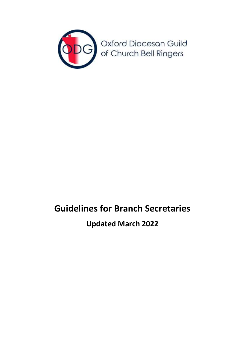

# **Guidelines for Branch Secretaries**

**Updated March 2022**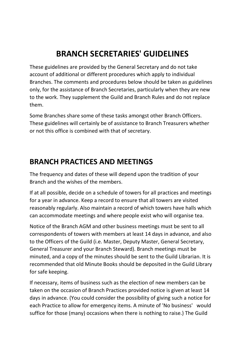# **BRANCH SECRETARIES' GUIDELINES**

These guidelines are provided by the General Secretary and do not take account of additional or different procedures which apply to individual Branches. The comments and procedures below should be taken as guidelines only, for the assistance of Branch Secretaries, particularly when they are new to the work. They supplement the Guild and Branch Rules and do not replace them.

Some Branches share some of these tasks amongst other Branch Officers. These guidelines will certainly be of assistance to Branch Treasurers whether or not this office is combined with that of secretary.

#### **BRANCH PRACTICES AND MEETINGS**

The frequency and dates of these will depend upon the tradition of your Branch and the wishes of the members.

If at all possible, decide on a schedule of towers for all practices and meetings for a year in advance. Keep a record to ensure that all towers are visited reasonably regularly. Also maintain a record of which towers have halls which can accommodate meetings and where people exist who will organise tea.

Notice of the Branch AGM and other business meetings must be sent to all correspondents of towers with members at least 14 days in advance, and also to the Officers of the Guild (i.e. Master, Deputy Master, General Secretary, General Treasurer and your Branch Steward). Branch meetings must be minuted, and a copy of the minutes should be sent to the Guild Librarian. It is recommended that old Minute Books should be deposited in the Guild Library for safe keeping.

If necessary, items of business such as the election of new members can be taken on the occasion of Branch Practices provided notice is given at least 14 days in advance. (You could consider the possibility of giving such a notice for each Practice to allow for emergency items. A minute of 'No business' would suffice for those (many) occasions when there is nothing to raise.) The Guild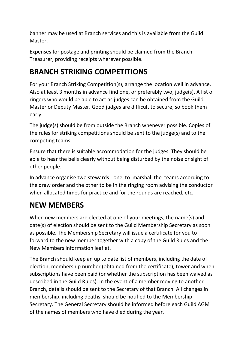banner may be used at Branch services and this is available from the Guild Master.

Expenses for postage and printing should be claimed from the Branch Treasurer, providing receipts wherever possible.

### **BRANCH STRIKING COMPETITIONS**

For your Branch Striking Competition(s), arrange the location well in advance. Also at least 3 months in advance find one, or preferably two, judge(s). A list of ringers who would be able to act as judges can be obtained from the Guild Master or Deputy Master. Good judges are difficult to secure, so book them early.

The judge(s) should be from outside the Branch whenever possible. Copies of the rules for striking competitions should be sent to the judge(s) and to the competing teams.

Ensure that there is suitable accommodation for the judges. They should be able to hear the bells clearly without being disturbed by the noise or sight of other people.

In advance organise two stewards - one to marshal the teams according to the draw order and the other to be in the ringing room advising the conductor when allocated times for practice and for the rounds are reached, etc.

## **NEW MEMBERS**

When new members are elected at one of your meetings, the name(s) and date(s) of election should be sent to the Guild Membership Secretary as soon as possible. The Membership Secretary will issue a certificate for you to forward to the new member together with a copy of the Guild Rules and the New Members information leaflet.

The Branch should keep an up to date list of members, including the date of election, membership number (obtained from the certificate), tower and when subscriptions have been paid (or whether the subscription has been waived as described in the Guild Rules). In the event of a member moving to another Branch, details should be sent to the Secretary of that Branch. All changes in membership, including deaths, should be notified to the Membership Secretary. The General Secretary should be informed before each Guild AGM of the names of members who have died during the year.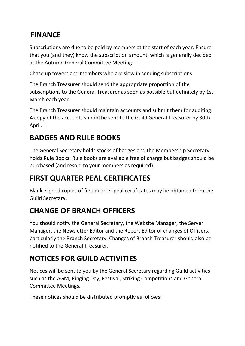#### **FINANCE**

Subscriptions are due to be paid by members at the start of each year. Ensure that you (and they) know the subscription amount, which is generally decided at the Autumn General Committee Meeting.

Chase up towers and members who are slow in sending subscriptions.

The Branch Treasurer should send the appropriate proportion of the subscriptions to the General Treasurer as soon as possible but definitely by 1st March each year.

The Branch Treasurer should maintain accounts and submit them for auditing. A copy of the accounts should be sent to the Guild General Treasurer by 30th April.

## **BADGES AND RULE BOOKS**

The General Secretary holds stocks of badges and the Membership Secretary holds Rule Books. Rule books are available free of charge but badges should be purchased (and resold to your members as required).

## **FIRST QUARTER PEAL CERTIFICATES**

Blank, signed copies of first quarter peal certificates may be obtained from the Guild Secretary.

## **CHANGE OF BRANCH OFFICERS**

You should notify the General Secretary, the Website Manager, the Server Manager, the Newsletter Editor and the Report Editor of changes of Officers, particularly the Branch Secretary. Changes of Branch Treasurer should also be notified to the General Treasurer.

## **NOTICES FOR GUILD ACTIVITIES**

Notices will be sent to you by the General Secretary regarding Guild activities such as the AGM, Ringing Day, Festival, Striking Competitions and General Committee Meetings.

These notices should be distributed promptly as follows: